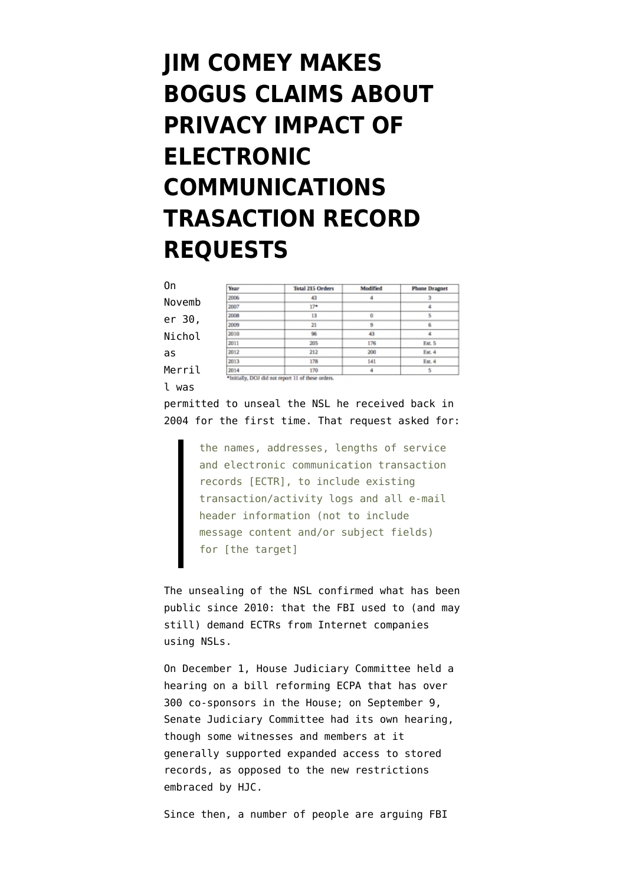## **[JIM COMEY MAKES](https://www.emptywheel.net/2015/12/10/jim-comey-makes-bogus-claims-about-privacy-impact-of-electronic-communications-trasaction-record-requests/) [BOGUS CLAIMS ABOUT](https://www.emptywheel.net/2015/12/10/jim-comey-makes-bogus-claims-about-privacy-impact-of-electronic-communications-trasaction-record-requests/) [PRIVACY IMPACT OF](https://www.emptywheel.net/2015/12/10/jim-comey-makes-bogus-claims-about-privacy-impact-of-electronic-communications-trasaction-record-requests/) [ELECTRONIC](https://www.emptywheel.net/2015/12/10/jim-comey-makes-bogus-claims-about-privacy-impact-of-electronic-communications-trasaction-record-requests/) [COMMUNICATIONS](https://www.emptywheel.net/2015/12/10/jim-comey-makes-bogus-claims-about-privacy-impact-of-electronic-communications-trasaction-record-requests/) [TRASACTION RECORD](https://www.emptywheel.net/2015/12/10/jim-comey-makes-bogus-claims-about-privacy-impact-of-electronic-communications-trasaction-record-requests/) [REQUESTS](https://www.emptywheel.net/2015/12/10/jim-comey-makes-bogus-claims-about-privacy-impact-of-electronic-communications-trasaction-record-requests/)**

| 0n     | Year | <b>Total 215 Orders</b> | Medified | <b>Phone Dragnet</b> |
|--------|------|-------------------------|----------|----------------------|
| Novemb | 2006 | 43                      | 4        |                      |
|        | 2007 | $17*$                   |          |                      |
| er 30, | 2008 | 13                      | 0        |                      |
|        | 2009 | 21                      | 9        |                      |
| Nichol | 2010 | 96                      | 43       |                      |
|        | 2011 | 205                     | 176      | Est. 5               |
| as     | 2012 | 212                     | 200      | Est. 4               |
|        | 2013 | 178                     | 141      | Est. 4               |
| Merril | 2014 | 170                     |          |                      |

[permitted](https://www.emptywheel.net/2015/11/30/fbi-redacted-passages-showing-judge-mocking-its-stupid-claims/) to unseal the NSL he received back in 2004 for the first time. That [request](https://www.calyxinstitute.org/sites/all/documents/Calyx-Internet-Access-NSL.pdf) asked for:

l was

the names, addresses, lengths of service and electronic communication transaction records [ECTR], to include existing transaction/activity logs and all e-mail header information (not to include message content and/or subject fields) for [the target]

The unsealing of the NSL confirmed what has been public since 2010: that the FBI used to (and may still) demand ECTRs from Internet companies using NSLs.

On December 1, House Judiciary Committee [held a](http://judiciary.house.gov/index.cfm/hearings?ID=5EF9186D-CCF3-4460-B72A-4025EC98C4BE) [hearing](http://judiciary.house.gov/index.cfm/hearings?ID=5EF9186D-CCF3-4460-B72A-4025EC98C4BE) on a bill reforming ECPA that has over 300 co-sponsors in the House; on September 9, Senate Judiciary Committee [had its own hearing,](http://www.judiciary.senate.gov/meetings/reforming-the-electronic-communications-privacy-act) though some witnesses and members at it generally supported expanded access to stored records, as opposed to the new restrictions embraced by HJC.

Since then, a number of people are arguing FBI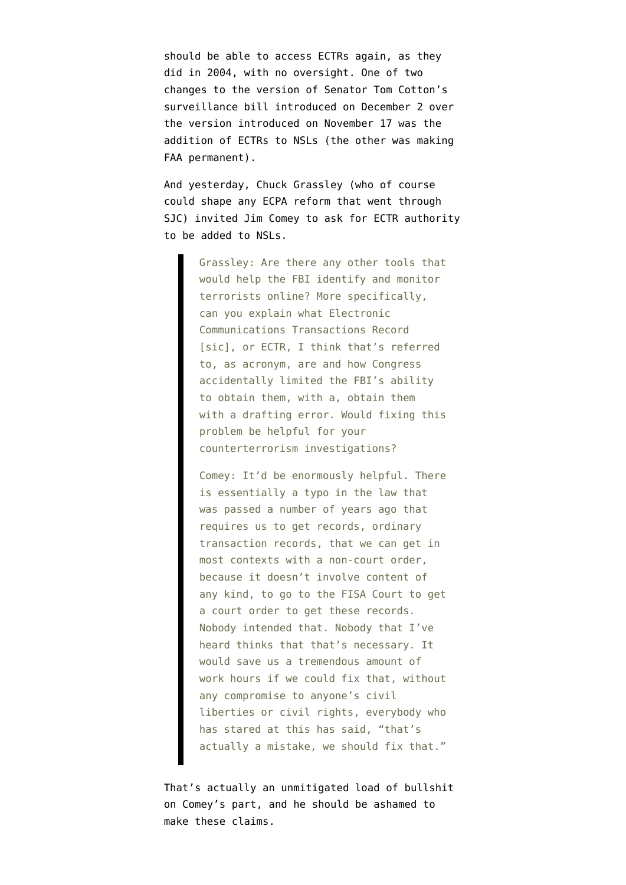should be able to access ECTRs again, as they did in 2004, with no oversight. One of two changes to the version of Senator Tom Cotton's surveillance bill [introduced on December 2](http://www.cotton.senate.gov/?p=press_release&id=266) over the version [introduced on November 17](http://www.cotton.senate.gov/?p=press_release&id=258) was the addition of ECTRs to NSLs (the other was making FAA permanent).

And yesterday, Chuck Grassley (who of course could shape any ECPA reform that went through SJC) [invited](http://www.c-span.org/video/?c4566491/ectr) Jim Comey to ask for ECTR authority to be added to NSLs.

> Grassley: Are there any other tools that would help the FBI identify and monitor terrorists online? More specifically, can you explain what Electronic Communications Transactions Record [sic], or ECTR, I think that's referred to, as acronym, are and how Congress accidentally limited the FBI's ability to obtain them, with a, obtain them with a drafting error. Would fixing this problem be helpful for your counterterrorism investigations?

> Comey: It'd be enormously helpful. There is essentially a typo in the law that was passed a number of years ago that requires us to get records, ordinary transaction records, that we can get in most contexts with a non-court order, because it doesn't involve content of any kind, to go to the FISA Court to get a court order to get these records. Nobody intended that. Nobody that I've heard thinks that that's necessary. It would save us a tremendous amount of work hours if we could fix that, without any compromise to anyone's civil liberties or civil rights, everybody who has stared at this has said, "that's actually a mistake, we should fix that."

That's actually an unmitigated load of bullshit on Comey's part, and he should be ashamed to make these claims.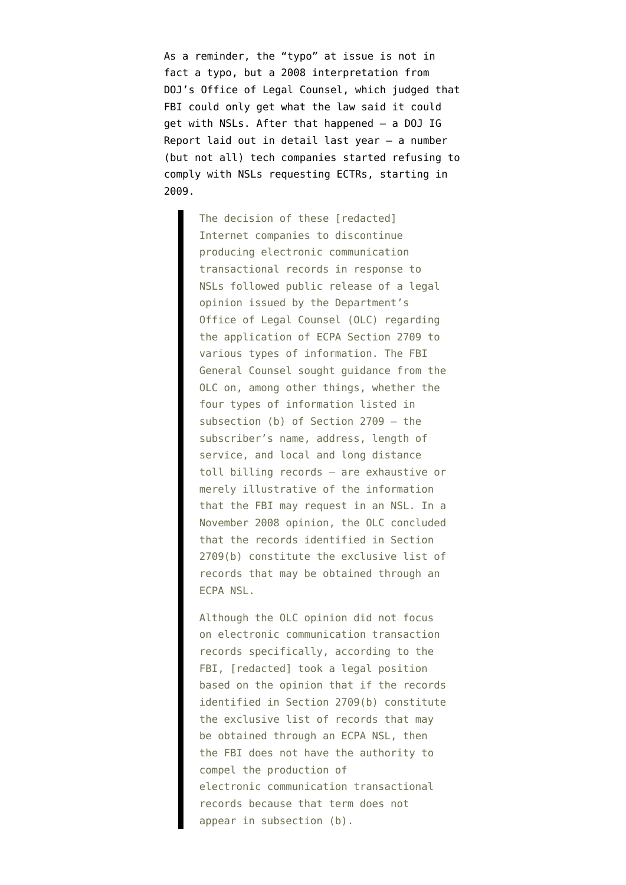As a reminder, the "typo" at issue is not in fact a typo, but a [2008 interpretation](https://www.emptywheel.net/wp-content/uploads/2015/12/081105-FBI-ECPA-opinion.pdf) from DOJ's Office of Legal Counsel, which judged that FBI could only get what the law said it could get with NSLs. After that happened — a [DOJ IG](https://oig.justice.gov/reports/2014/s1408.pdf) [Report laid out in detail last year](https://oig.justice.gov/reports/2014/s1408.pdf) — a number (but not all) tech companies started refusing to comply with NSLs requesting ECTRs, starting in 2009.

> The decision of these [redacted] Internet companies to discontinue producing electronic communication transactional records in response to NSLs followed public release of a legal opinion issued by the Department's Office of Legal Counsel (OLC) regarding the application of ECPA Section 2709 to various types of information. The FBI General Counsel sought guidance from the OLC on, among other things, whether the four types of information listed in subsection (b) of Section 2709 — the subscriber's name, address, length of service, and local and long distance toll billing records — are exhaustive or merely illustrative of the information that the FBI may request in an NSL. In a November 2008 opinion, the OLC concluded that the records identified in Section 2709(b) constitute the exclusive list of records that may be obtained through an ECPA NSL.

> Although the OLC opinion did not focus on electronic communication transaction records specifically, according to the FBI, [redacted] took a legal position based on the opinion that if the records identified in Section 2709(b) constitute the exclusive list of records that may be obtained through an ECPA NSL, then the FBI does not have the authority to compel the production of electronic communication transactional records because that term does not appear in subsection (b).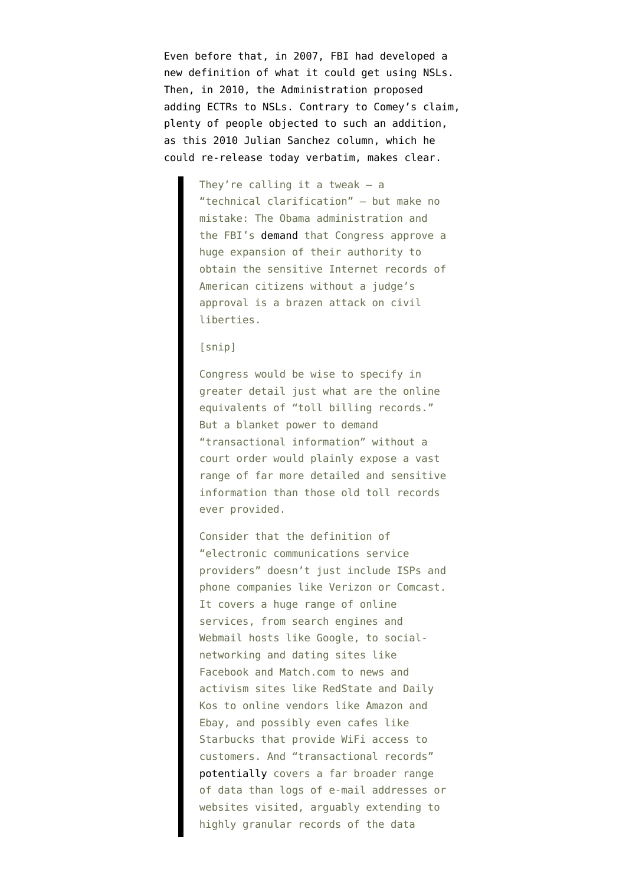Even before that, in 2007, FBI had developed a new definition of what it could get using NSLs. Then, in 2010, the Administration proposed adding ECTRs to NSLs. Contrary to Comey's claim, plenty of people objected to such an addition, as this 2010 [Julian Sanchez column](http://prospect.org/article/obamas-power-grab), which he could re-release today verbatim, makes clear.

> They're calling it a tweak  $-$  a "technical clarification" — but make no mistake: The Obama administration and the FBI's [demand](http://www.washingtonpost.com/wp-dyn/content/article/2010/07/28/AR2010072806141_pf.html) that Congress approve a huge expansion of their authority to obtain the sensitive Internet records of American citizens without a judge's approval is a brazen attack on civil liberties.

## [snip]

Congress would be wise to specify in greater detail just what are the online equivalents of "toll billing records." But a blanket power to demand "transactional information" without a court order would plainly expose a vast range of far more detailed and sensitive information than those old toll records ever provided.

Consider that the definition of "electronic communications service providers" doesn't just include ISPs and phone companies like Verizon or Comcast. It covers a huge range of online services, from search engines and Webmail hosts like Google, to socialnetworking and dating sites like Facebook and Match.com to news and activism sites like RedState and Daily Kos to online vendors like Amazon and Ebay, and possibly even cafes like Starbucks that provide WiFi access to customers. And "transactional records" [potentially](http://www.aclu.org/files/nsl/legal/declaration_garfinkel.pdf) covers a far broader range of data than logs of e-mail addresses or websites visited, arguably extending to highly granular records of the data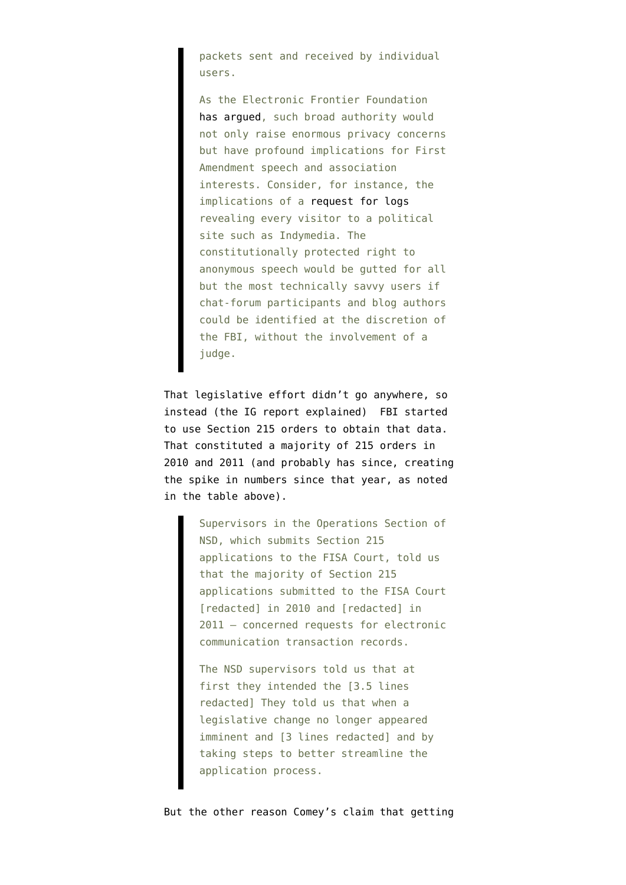packets sent and received by individual users.

As the Electronic Frontier Foundation [has argued](https://www.eff.org/files/filenode/doe_v_ashcroft/NSL_EFF_brief.pdf), such broad authority would not only raise enormous privacy concerns but have profound implications for First Amendment speech and association interests. Consider, for instance, the implications of a [request for logs](http://www.eff.org/wp/anatomy-bogus-subpoena-indymedia) revealing every visitor to a political site such as Indymedia. The constitutionally protected right to anonymous speech would be gutted for all but the most technically savvy users if chat-forum participants and blog authors could be identified at the discretion of the FBI, without the involvement of a judge.

That legislative effort didn't go anywhere, so instead (the IG report explained) FBI started to use Section 215 orders to obtain that data. That constituted a majority of 215 orders in 2010 and 2011 (and probably has since, creating the spike in numbers since that year, as noted in the table above).

> Supervisors in the Operations Section of NSD, which submits Section 215 applications to the FISA Court, told us that the majority of Section 215 applications submitted to the FISA Court [redacted] in 2010 and [redacted] in 2011 — concerned requests for electronic communication transaction records.

The NSD supervisors told us that at first they intended the [3.5 lines redacted] They told us that when a legislative change no longer appeared imminent and [3 lines redacted] and by taking steps to better streamline the application process.

But the other reason Comey's claim that getting